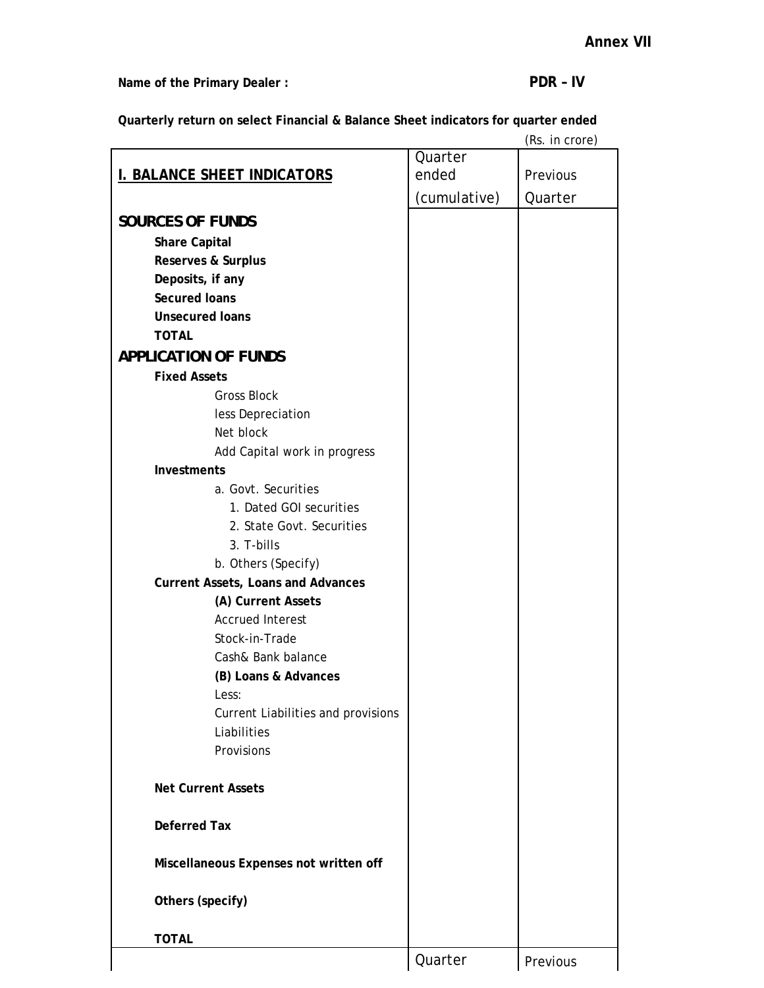Name of the Primary Dealer : **PDR - IV** 

**Quarterly return on select Financial & Balance Sheet indicators for quarter ended** 

|                                           |              | (Rs. in crore) |
|-------------------------------------------|--------------|----------------|
|                                           | Quarter      |                |
| <b>I. BALANCE SHEET INDICATORS</b>        | ended        | Previous       |
|                                           | (cumulative) | Quarter        |
| <b>SOURCES OF FUNDS</b>                   |              |                |
|                                           |              |                |
| <b>Share Capital</b>                      |              |                |
| <b>Reserves &amp; Surplus</b>             |              |                |
| Deposits, if any<br><b>Secured Ioans</b>  |              |                |
|                                           |              |                |
| <b>Unsecured loans</b>                    |              |                |
| <b>TOTAL</b>                              |              |                |
| <b>APPLICATION OF FUNDS</b>               |              |                |
| <b>Fixed Assets</b>                       |              |                |
| <b>Gross Block</b>                        |              |                |
| less Depreciation                         |              |                |
| Net block                                 |              |                |
| Add Capital work in progress              |              |                |
| <b>Investments</b>                        |              |                |
| a. Govt. Securities                       |              |                |
| 1. Dated GOI securities                   |              |                |
| 2. State Govt. Securities                 |              |                |
| 3. T-bills                                |              |                |
| b. Others (Specify)                       |              |                |
| <b>Current Assets, Loans and Advances</b> |              |                |
| (A) Current Assets                        |              |                |
| <b>Accrued Interest</b>                   |              |                |
| Stock-in-Trade                            |              |                |
| Cash& Bank balance                        |              |                |
| (B) Loans & Advances                      |              |                |
| Less:                                     |              |                |
| Current Liabilities and provisions        |              |                |
| Liabilities                               |              |                |
| Provisions                                |              |                |
|                                           |              |                |
| <b>Net Current Assets</b>                 |              |                |
|                                           |              |                |
| <b>Deferred Tax</b>                       |              |                |
|                                           |              |                |
| Miscellaneous Expenses not written off    |              |                |
|                                           |              |                |
| Others (specify)                          |              |                |
|                                           |              |                |
| <b>TOTAL</b>                              |              |                |
|                                           | Quarter      | Previous       |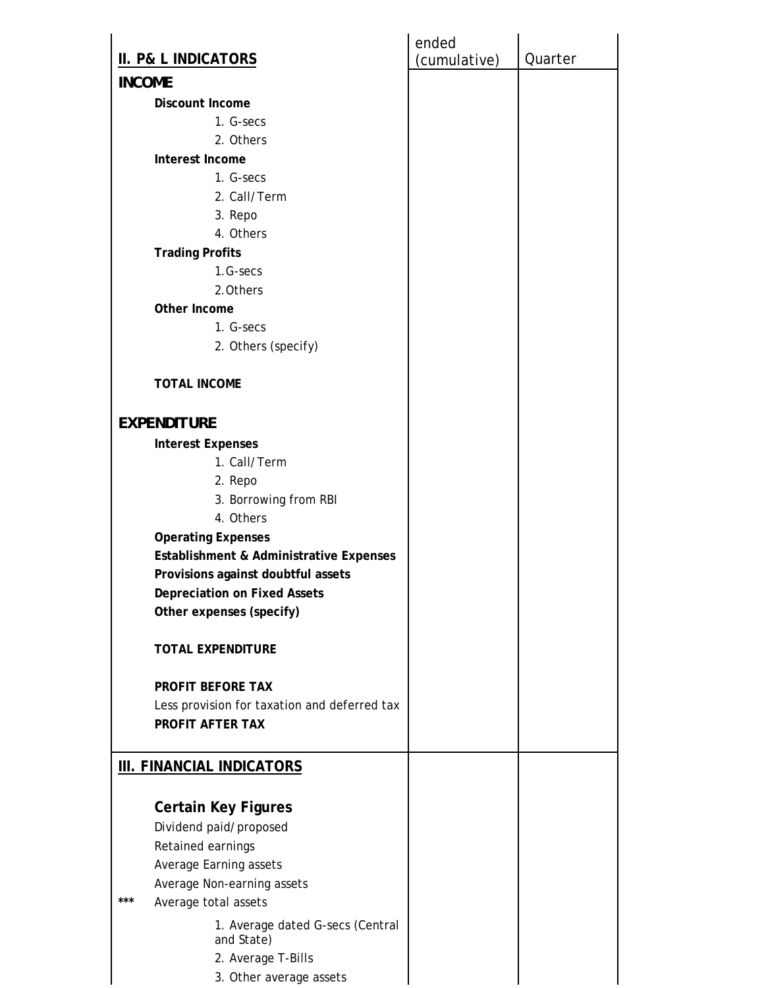|                                                | ended        |         |
|------------------------------------------------|--------------|---------|
| <b>II. P&amp; L INDICATORS</b>                 | (cumulative) | Quarter |
| <b>INCOME</b>                                  |              |         |
| <b>Discount Income</b>                         |              |         |
| 1. G-secs                                      |              |         |
| 2. Others                                      |              |         |
| Interest Income                                |              |         |
| 1. G-secs                                      |              |         |
| 2. Call/Term                                   |              |         |
| 3. Repo                                        |              |         |
| 4. Others                                      |              |         |
| <b>Trading Profits</b>                         |              |         |
| 1.G-secs                                       |              |         |
| 2.0thers                                       |              |         |
| Other Income                                   |              |         |
| 1. G-secs                                      |              |         |
| 2. Others (specify)                            |              |         |
|                                                |              |         |
| <b>TOTAL INCOME</b>                            |              |         |
| <b>EXPENDITURE</b>                             |              |         |
| <b>Interest Expenses</b>                       |              |         |
| 1. Call/Term                                   |              |         |
| 2. Repo                                        |              |         |
| 3. Borrowing from RBI                          |              |         |
| 4. Others                                      |              |         |
| <b>Operating Expenses</b>                      |              |         |
| Establishment & Administrative Expenses        |              |         |
| Provisions against doubtful assets             |              |         |
| <b>Depreciation on Fixed Assets</b>            |              |         |
| Other expenses (specify)                       |              |         |
| <b>TOTAL EXPENDITURE</b>                       |              |         |
| <b>PROFIT BEFORE TAX</b>                       |              |         |
| Less provision for taxation and deferred tax   |              |         |
| PROFIT AFTER TAX                               |              |         |
| <b>III. FINANCIAL INDICATORS</b>               |              |         |
|                                                |              |         |
| <b>Certain Key Figures</b>                     |              |         |
| Dividend paid/proposed                         |              |         |
| Retained earnings                              |              |         |
| Average Earning assets                         |              |         |
| Average Non-earning assets                     |              |         |
| $***$<br>Average total assets                  |              |         |
| 1. Average dated G-secs (Central<br>and State) |              |         |
| 2. Average T-Bills                             |              |         |
| 3. Other average assets                        |              |         |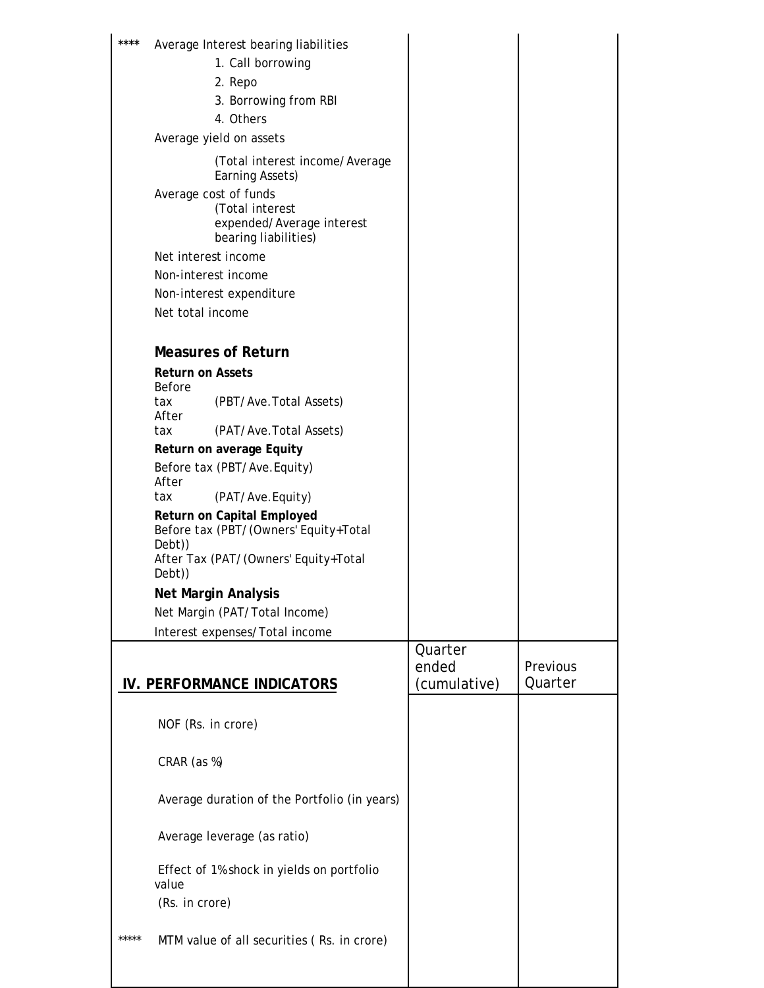| ****  | Average Interest bearing liabilities                                                          |              |          |
|-------|-----------------------------------------------------------------------------------------------|--------------|----------|
|       | 1. Call borrowing                                                                             |              |          |
|       | 2. Repo                                                                                       |              |          |
|       | 3. Borrowing from RBI                                                                         |              |          |
|       | 4. Others                                                                                     |              |          |
|       | Average yield on assets                                                                       |              |          |
|       |                                                                                               |              |          |
|       | (Total interest income/Average<br>Earning Assets)                                             |              |          |
|       | Average cost of funds<br>(Total interest<br>expended/Average interest<br>bearing liabilities) |              |          |
|       | Net interest income                                                                           |              |          |
|       | Non-interest income                                                                           |              |          |
|       | Non-interest expenditure                                                                      |              |          |
|       | Net total income                                                                              |              |          |
|       |                                                                                               |              |          |
|       | <b>Measures of Return</b>                                                                     |              |          |
|       | <b>Return on Assets</b><br><b>Before</b>                                                      |              |          |
|       | (PBT/Ave.Total Assets)<br>tax<br>After                                                        |              |          |
|       | tax<br>(PAT/Ave. Total Assets)                                                                |              |          |
|       | Return on average Equity                                                                      |              |          |
|       | Before tax (PBT/Ave.Equity)                                                                   |              |          |
|       | After                                                                                         |              |          |
|       | (PAT/Ave.Equity)<br>tax                                                                       |              |          |
|       | Return on Capital Employed<br>Before tax (PBT/(Owners' Equity+Total                           |              |          |
|       | Debt))<br>After Tax (PAT/(Owners' Equity+Total<br>Debt))                                      |              |          |
|       | <b>Net Margin Analysis</b>                                                                    |              |          |
|       | Net Margin (PAT/Total Income)                                                                 |              |          |
|       | Interest expenses/Total income                                                                |              |          |
|       |                                                                                               | Quarter      |          |
|       |                                                                                               | ended        | Previous |
|       | IV. PERFORMANCE INDICATORS                                                                    | (cumulative) | Quarter  |
|       |                                                                                               |              |          |
|       | NOF (Rs. in crore)                                                                            |              |          |
|       | CRAR (as %)                                                                                   |              |          |
|       | Average duration of the Portfolio (in years)                                                  |              |          |
|       | Average leverage (as ratio)                                                                   |              |          |
|       | Effect of 1% shock in yields on portfolio<br>value                                            |              |          |
|       | (Rs. in crore)                                                                                |              |          |
|       |                                                                                               |              |          |
| ***** | MTM value of all securities (Rs. in crore)                                                    |              |          |
|       |                                                                                               |              |          |
|       |                                                                                               |              |          |